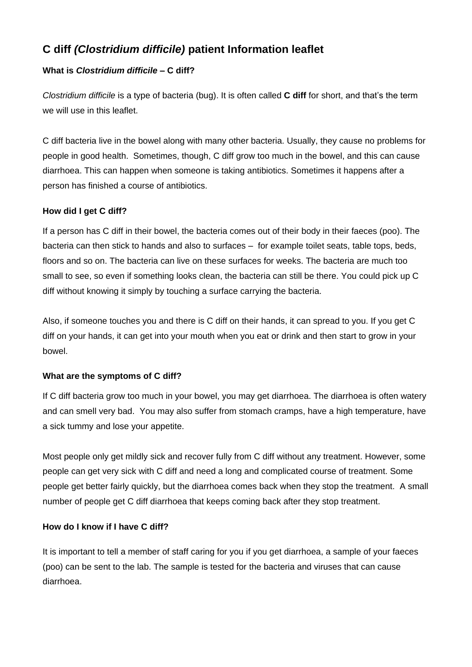# **C diff** *(Clostridium difficile)* **patient Information leaflet**

# **What is** *Clostridium difficile –* **C diff?**

*Clostridium difficile* is a type of bacteria (bug). It is often called **C diff** for short, and that's the term we will use in this leaflet.

C diff bacteria live in the bowel along with many other bacteria. Usually, they cause no problems for people in good health. Sometimes, though, C diff grow too much in the bowel, and this can cause diarrhoea. This can happen when someone is taking antibiotics. Sometimes it happens after a person has finished a course of antibiotics.

# **How did I get C diff?**

If a person has C diff in their bowel, the bacteria comes out of their body in their faeces (poo). The bacteria can then stick to hands and also to surfaces – for example toilet seats, table tops, beds, floors and so on. The bacteria can live on these surfaces for weeks. The bacteria are much too small to see, so even if something looks clean, the bacteria can still be there. You could pick up C diff without knowing it simply by touching a surface carrying the bacteria.

Also, if someone touches you and there is C diff on their hands, it can spread to you. If you get C diff on your hands, it can get into your mouth when you eat or drink and then start to grow in your bowel.

# **What are the symptoms of C diff?**

If C diff bacteria grow too much in your bowel, you may get diarrhoea. The diarrhoea is often watery and can smell very bad. You may also suffer from stomach cramps, have a high temperature, have a sick tummy and lose your appetite.

Most people only get mildly sick and recover fully from C diff without any treatment. However, some people can get very sick with C diff and need a long and complicated course of treatment. Some people get better fairly quickly, but the diarrhoea comes back when they stop the treatment. A small number of people get C diff diarrhoea that keeps coming back after they stop treatment.

# **How do I know if I have C diff?**

It is important to tell a member of staff caring for you if you get diarrhoea, a sample of your faeces (poo) can be sent to the lab. The sample is tested for the bacteria and viruses that can cause diarrhoea.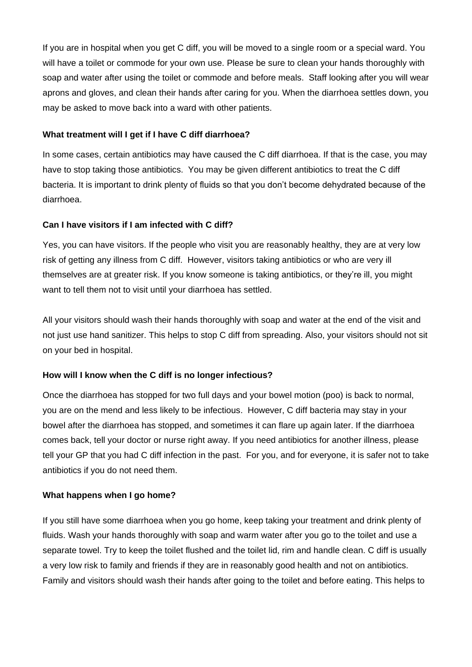If you are in hospital when you get C diff, you will be moved to a single room or a special ward. You will have a toilet or commode for your own use. Please be sure to clean your hands thoroughly with soap and water after using the toilet or commode and before meals. Staff looking after you will wear aprons and gloves, and clean their hands after caring for you. When the diarrhoea settles down, you may be asked to move back into a ward with other patients.

#### **What treatment will I get if I have C diff diarrhoea?**

In some cases, certain antibiotics may have caused the C diff diarrhoea. If that is the case, you may have to stop taking those antibiotics. You may be given different antibiotics to treat the C diff bacteria. It is important to drink plenty of fluids so that you don't become dehydrated because of the diarrhoea.

# **Can I have visitors if I am infected with C diff?**

Yes, you can have visitors. If the people who visit you are reasonably healthy, they are at very low risk of getting any illness from C diff. However, visitors taking antibiotics or who are very ill themselves are at greater risk. If you know someone is taking antibiotics, or they're ill, you might want to tell them not to visit until your diarrhoea has settled.

All your visitors should wash their hands thoroughly with soap and water at the end of the visit and not just use hand sanitizer. This helps to stop C diff from spreading. Also, your visitors should not sit on your bed in hospital.

# **How will I know when the C diff is no longer infectious?**

Once the diarrhoea has stopped for two full days and your bowel motion (poo) is back to normal, you are on the mend and less likely to be infectious. However, C diff bacteria may stay in your bowel after the diarrhoea has stopped, and sometimes it can flare up again later. If the diarrhoea comes back, tell your doctor or nurse right away. If you need antibiotics for another illness, please tell your GP that you had C diff infection in the past. For you, and for everyone, it is safer not to take antibiotics if you do not need them.

# **What happens when I go home?**

If you still have some diarrhoea when you go home, keep taking your treatment and drink plenty of fluids. Wash your hands thoroughly with soap and warm water after you go to the toilet and use a separate towel. Try to keep the toilet flushed and the toilet lid, rim and handle clean. C diff is usually a very low risk to family and friends if they are in reasonably good health and not on antibiotics. Family and visitors should wash their hands after going to the toilet and before eating. This helps to